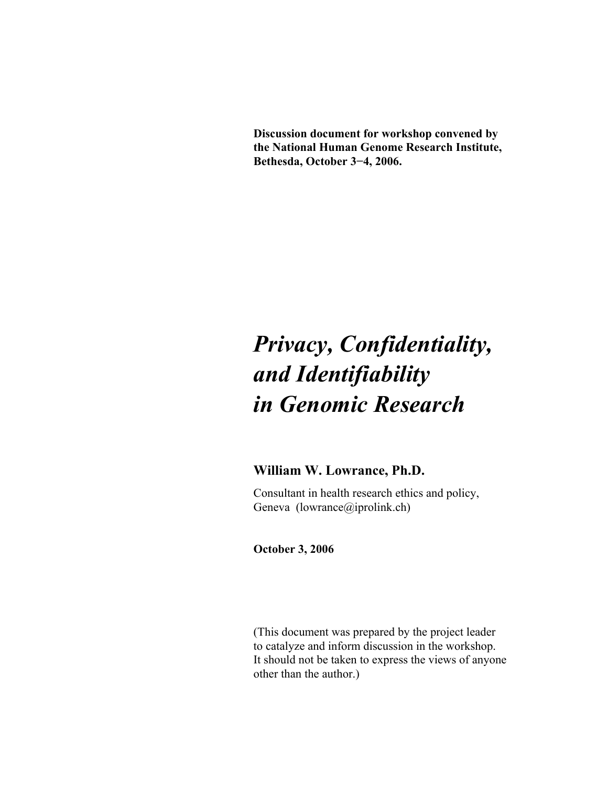**Discussion document for workshop convened by the National Human Genome Research Institute, Bethesda, October 3−4, 2006.** 

# *Privacy, Confidentiality, and Identifiability in Genomic Research*

## **William W. Lowrance, Ph.D.**

 Consultant in health research ethics and policy, Geneva (lowrance@iprolink.ch)

**October 3, 2006** 

 (This document was prepared by the project leader to catalyze and inform discussion in the workshop. It should not be taken to express the views of anyone other than the author.)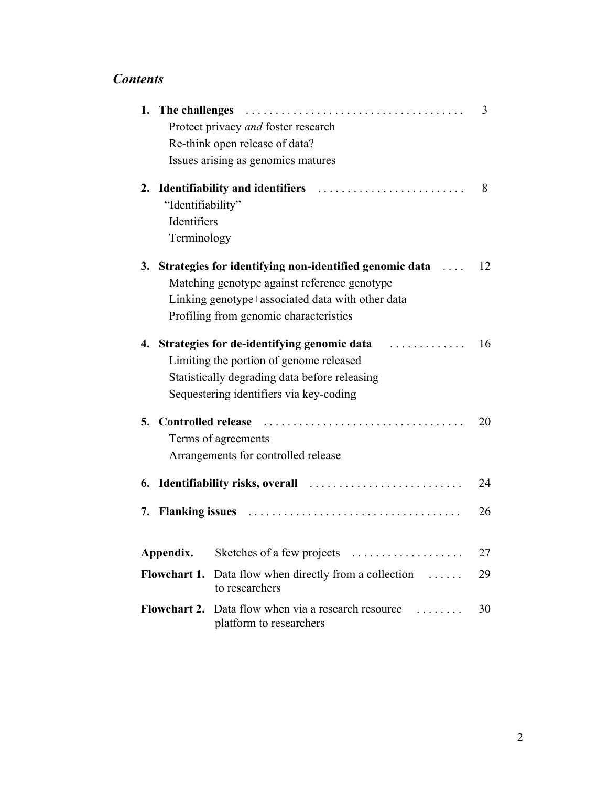# *Contents*

|    |                           |                                                                                            | 3  |
|----|---------------------------|--------------------------------------------------------------------------------------------|----|
|    |                           | Protect privacy and foster research                                                        |    |
|    |                           | Re-think open release of data?                                                             |    |
|    |                           | Issues arising as genomics matures                                                         |    |
|    |                           |                                                                                            | 8  |
|    | "Identifiability"         |                                                                                            |    |
|    | Identifiers               |                                                                                            |    |
|    | Terminology               |                                                                                            |    |
|    |                           | 3. Strategies for identifying non-identified genomic data                                  | 12 |
|    |                           | Matching genotype against reference genotype                                               |    |
|    |                           | Linking genotype+associated data with other data                                           |    |
|    |                           | Profiling from genomic characteristics                                                     |    |
|    |                           | 4. Strategies for de-identifying genomic data                                              | 16 |
|    |                           | Limiting the portion of genome released                                                    |    |
|    |                           | Statistically degrading data before releasing                                              |    |
|    |                           | Sequestering identifiers via key-coding                                                    |    |
| 5. | <b>Controlled release</b> |                                                                                            | 20 |
|    |                           | Terms of agreements                                                                        |    |
|    |                           | Arrangements for controlled release                                                        |    |
|    |                           |                                                                                            | 24 |
|    |                           |                                                                                            | 26 |
|    | Appendix.                 | Sketches of a few projects<br>.                                                            | 27 |
|    | <b>Flowchart 1.</b>       | Data flow when directly from a collection<br>$\sim$<br>to researchers                      | 29 |
|    |                           | <b>Flowchart 2.</b> Data flow when via a research resource<br>.<br>platform to researchers | 30 |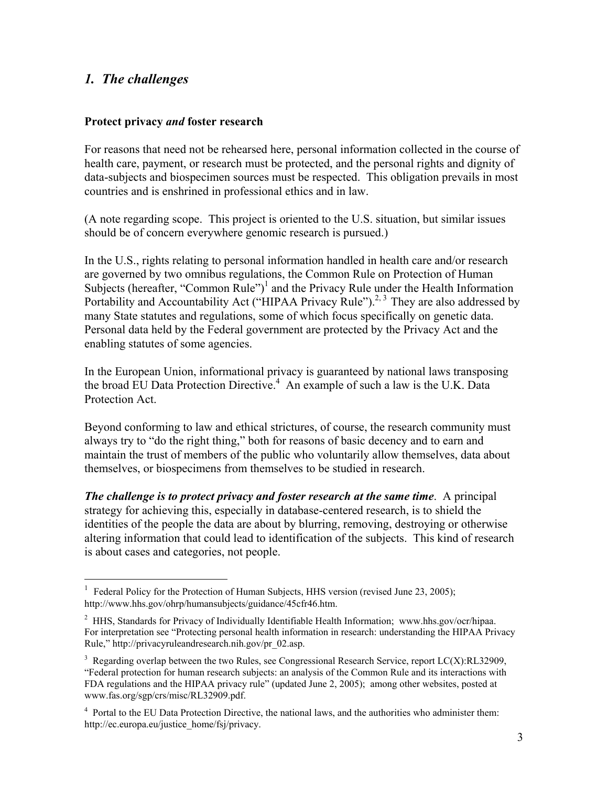## *1. The challenges*

1

#### **Protect privacy** *and* **foster research**

For reasons that need not be rehearsed here, personal information collected in the course of health care, payment, or research must be protected, and the personal rights and dignity of data-subjects and biospecimen sources must be respected. This obligation prevails in most countries and is enshrined in professional ethics and in law.

(A note regarding scope. This project is oriented to the U.S. situation, but similar issues should be of concern everywhere genomic research is pursued.)

In the U.S., rights relating to personal information handled in health care and/or research are governed by two omnibus regulations, the Common Rule on Protection of Human Subjects (hereafter, "Common Rule")<sup>1</sup> and the Privacy Rule under the Health Information Portability and Accountability Act ("HIPAA Privacy Rule").<sup>2, 3</sup> They are also addressed by many State statutes and regulations, some of which focus specifically on genetic data. Personal data held by the Federal government are protected by the Privacy Act and the enabling statutes of some agencies.

In the European Union, informational privacy is guaranteed by national laws transposing the broad EU Data Protection Directive.<sup>4</sup> An example of such a law is the U.K. Data Protection Act.

Beyond conforming to law and ethical strictures, of course, the research community must always try to "do the right thing," both for reasons of basic decency and to earn and maintain the trust of members of the public who voluntarily allow themselves, data about themselves, or biospecimens from themselves to be studied in research.

*The challenge is to protect privacy and foster research at the same time.* **A principal** strategy for achieving this, especially in database-centered research, is to shield the identities of the people the data are about by blurring, removing, destroying or otherwise altering information that could lead to identification of the subjects. This kind of research is about cases and categories, not people.

<sup>1</sup> Federal Policy for the Protection of Human Subjects, HHS version (revised June 23, 2005); http://www.hhs.gov/ohrp/humansubjects/guidance/45cfr46.htm.

<sup>&</sup>lt;sup>2</sup> HHS, Standards for Privacy of Individually Identifiable Health Information; www.hhs.gov/ocr/hipaa. For interpretation see "Protecting personal health information in research: understanding the HIPAA Privacy Rule," http://privacyruleandresearch.nih.gov/pr\_02.asp.

 $3$  Regarding overlap between the two Rules, see Congressional Research Service, report LC(X):RL32909, "Federal protection for human research subjects: an analysis of the Common Rule and its interactions with FDA regulations and the HIPAA privacy rule" (updated June 2, 2005); among other websites, posted at www.fas.org/sgp/crs/misc/RL32909.pdf.

<sup>&</sup>lt;sup>4</sup> Portal to the EU Data Protection Directive, the national laws, and the authorities who administer them: http://ec.europa.eu/justice\_home/fsj/privacy.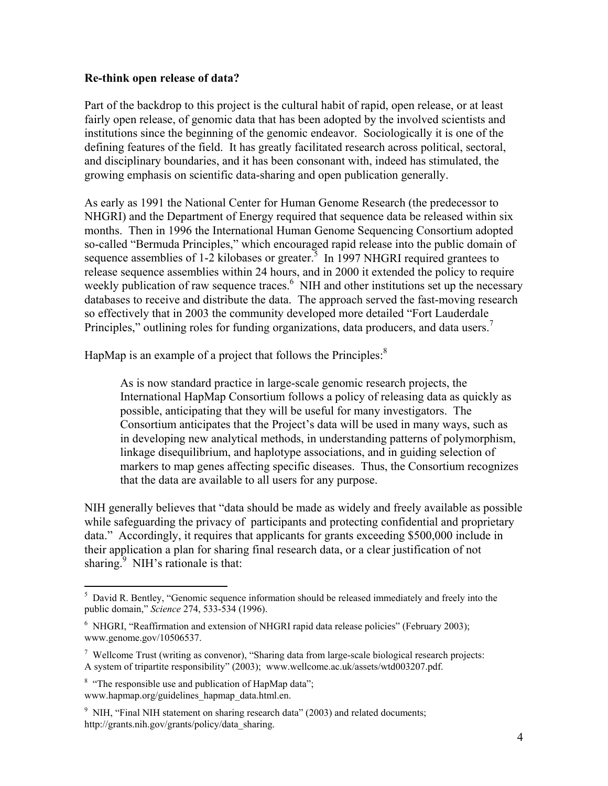#### **Re-think open release of data?**

Part of the backdrop to this project is the cultural habit of rapid, open release, or at least fairly open release, of genomic data that has been adopted by the involved scientists and institutions since the beginning of the genomic endeavor. Sociologically it is one of the defining features of the field. It has greatly facilitated research across political, sectoral, and disciplinary boundaries, and it has been consonant with, indeed has stimulated, the growing emphasis on scientific data-sharing and open publication generally.

As early as 1991 the National Center for Human Genome Research (the predecessor to NHGRI) and the Department of Energy required that sequence data be released within six months. Then in 1996 the International Human Genome Sequencing Consortium adopted so-called "Bermuda Principles," which encouraged rapid release into the public domain of sequence assemblies of 1-2 kilobases or greater.<sup>5</sup> In 1997 NHGRI required grantees to release sequence assemblies within 24 hours, and in 2000 it extended the policy to require weekly publication of raw sequence traces.<sup>6</sup> NIH and other institutions set up the necessary databases to receive and distribute the data. The approach served the fast-moving research so effectively that in 2003 the community developed more detailed "Fort Lauderdale Principles," outlining roles for funding organizations, data producers, and data users.<sup>7</sup>

HapMap is an example of a project that follows the Principles: $8$ 

As is now standard practice in large-scale genomic research projects, the International HapMap Consortium follows a policy of releasing data as quickly as possible, anticipating that they will be useful for many investigators. The Consortium anticipates that the Project's data will be used in many ways, such as in developing new analytical methods, in understanding patterns of polymorphism, linkage disequilibrium, and haplotype associations, and in guiding selection of markers to map genes affecting specific diseases. Thus, the Consortium recognizes that the data are available to all users for any purpose.

NIH generally believes that "data should be made as widely and freely available as possible while safeguarding the privacy of participants and protecting confidential and proprietary data." Accordingly, it requires that applicants for grants exceeding \$500,000 include in their application a plan for sharing final research data, or a clear justification of not sharing. $9$  NIH's rationale is that:

<sup>&</sup>lt;sup>5</sup> David R. Bentley, "Genomic sequence information should be released immediately and freely into the public domain," *Science* 274, 533-534 (1996).

<sup>&</sup>lt;sup>6</sup> NHGRI, "Reaffirmation and extension of NHGRI rapid data release policies" (February 2003); www.genome.gov/10506537.

<sup>&</sup>lt;sup>7</sup> Wellcome Trust (writing as convenor), "Sharing data from large-scale biological research projects: A system of tripartite responsibility" (2003); www.wellcome.ac.uk/assets/wtd003207.pdf.

<sup>&</sup>lt;sup>8</sup> "The responsible use and publication of HapMap data"; www.hapmap.org/guidelines\_hapmap\_data.html.en.

<sup>&</sup>lt;sup>9</sup> NIH, "Final NIH statement on sharing research data" (2003) and related documents; http://grants.nih.gov/grants/policy/data\_sharing.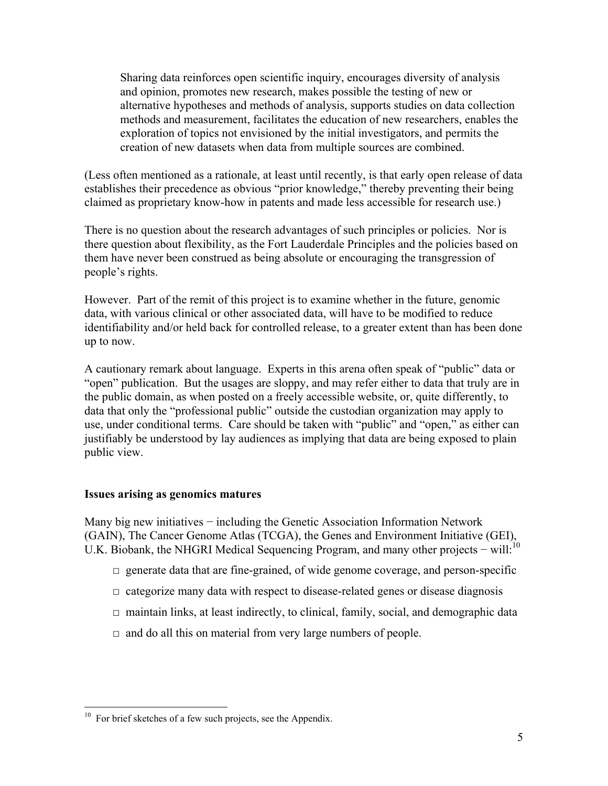Sharing data reinforces open scientific inquiry, encourages diversity of analysis and opinion, promotes new research, makes possible the testing of new or alternative hypotheses and methods of analysis, supports studies on data collection methods and measurement, facilitates the education of new researchers, enables the exploration of topics not envisioned by the initial investigators, and permits the creation of new datasets when data from multiple sources are combined.

(Less often mentioned as a rationale, at least until recently, is that early open release of data establishes their precedence as obvious "prior knowledge," thereby preventing their being claimed as proprietary know-how in patents and made less accessible for research use.)

There is no question about the research advantages of such principles or policies. Nor is there question about flexibility, as the Fort Lauderdale Principles and the policies based on them have never been construed as being absolute or encouraging the transgression of people's rights.

However. Part of the remit of this project is to examine whether in the future, genomic data, with various clinical or other associated data, will have to be modified to reduce identifiability and/or held back for controlled release, to a greater extent than has been done up to now.

A cautionary remark about language. Experts in this arena often speak of "public" data or "open" publication. But the usages are sloppy, and may refer either to data that truly are in the public domain, as when posted on a freely accessible website, or, quite differently, to data that only the "professional public" outside the custodian organization may apply to use, under conditional terms. Care should be taken with "public" and "open," as either can justifiably be understood by lay audiences as implying that data are being exposed to plain public view.

#### **Issues arising as genomics matures**

Many big new initiatives − including the Genetic Association Information Network (GAIN), The Cancer Genome Atlas (TCGA), the Genes and Environment Initiative (GEI), U.K. Biobank, the NHGRI Medical Sequencing Program, and many other projects – will:<sup>10</sup>

- $\Box$  generate data that are fine-grained, of wide genome coverage, and person-specific
- $\Box$  categorize many data with respect to disease-related genes or disease diagnosis
- $\Box$  maintain links, at least indirectly, to clinical, family, social, and demographic data
- $\Box$  and do all this on material from very large numbers of people.

 $10$  For brief sketches of a few such projects, see the Appendix.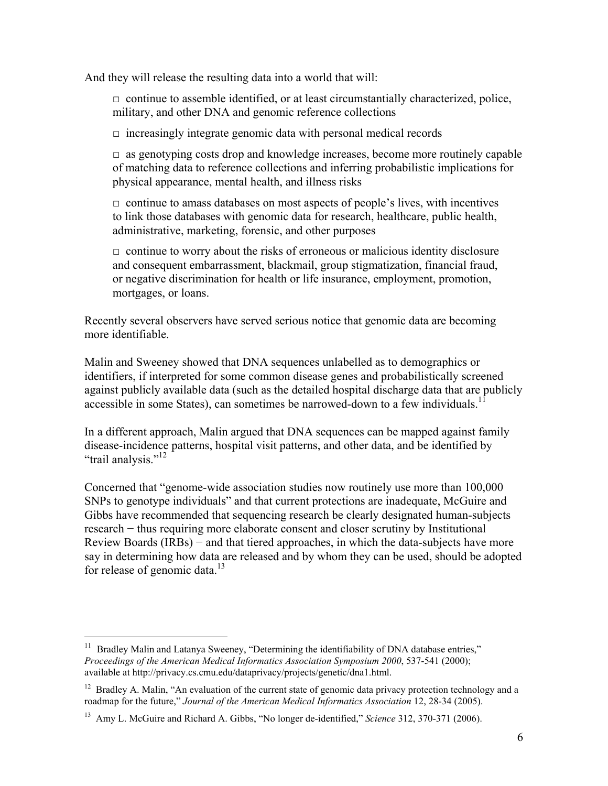And they will release the resulting data into a world that will:

 $\Box$  continue to assemble identified, or at least circumstantially characterized, police, military, and other DNA and genomic reference collections

 $\Box$  increasingly integrate genomic data with personal medical records

 $\Box$  as genotyping costs drop and knowledge increases, become more routinely capable of matching data to reference collections and inferring probabilistic implications for physical appearance, mental health, and illness risks

 $\Box$  continue to amass databases on most aspects of people's lives, with incentives to link those databases with genomic data for research, healthcare, public health, administrative, marketing, forensic, and other purposes

 $\Box$  continue to worry about the risks of erroneous or malicious identity disclosure and consequent embarrassment, blackmail, group stigmatization, financial fraud, or negative discrimination for health or life insurance, employment, promotion, mortgages, or loans.

Recently several observers have served serious notice that genomic data are becoming more identifiable.

Malin and Sweeney showed that DNA sequences unlabelled as to demographics or identifiers, if interpreted for some common disease genes and probabilistically screened against publicly available data (such as the detailed hospital discharge data that are publicly accessible in some States), can sometimes be narrowed-down to a few individuals.<sup>1</sup>

In a different approach, Malin argued that DNA sequences can be mapped against family disease-incidence patterns, hospital visit patterns, and other data, and be identified by "trail analysis."<sup>12</sup>

Concerned that "genome-wide association studies now routinely use more than 100,000 SNPs to genotype individuals" and that current protections are inadequate, McGuire and Gibbs have recommended that sequencing research be clearly designated human-subjects research − thus requiring more elaborate consent and closer scrutiny by Institutional Review Boards (IRBs) − and that tiered approaches, in which the data-subjects have more say in determining how data are released and by whom they can be used, should be adopted for release of genomic data.<sup>13</sup>

Bradley Malin and Latanya Sweeney, "Determining the identifiability of DNA database entries," *Proceedings of the American Medical Informatics Association Symposium 2000*, 537-541 (2000); available at http://privacy.cs.cmu.edu/dataprivacy/projects/genetic/dna1.html.

<sup>&</sup>lt;sup>12</sup> Bradley A. Malin, "An evaluation of the current state of genomic data privacy protection technology and a roadmap for the future," *Journal of the American Medical Informatics Association* 12, 28-34 (2005).

<sup>13</sup> Amy L. McGuire and Richard A. Gibbs, "No longer de-identified," *Science* 312, 370-371 (2006).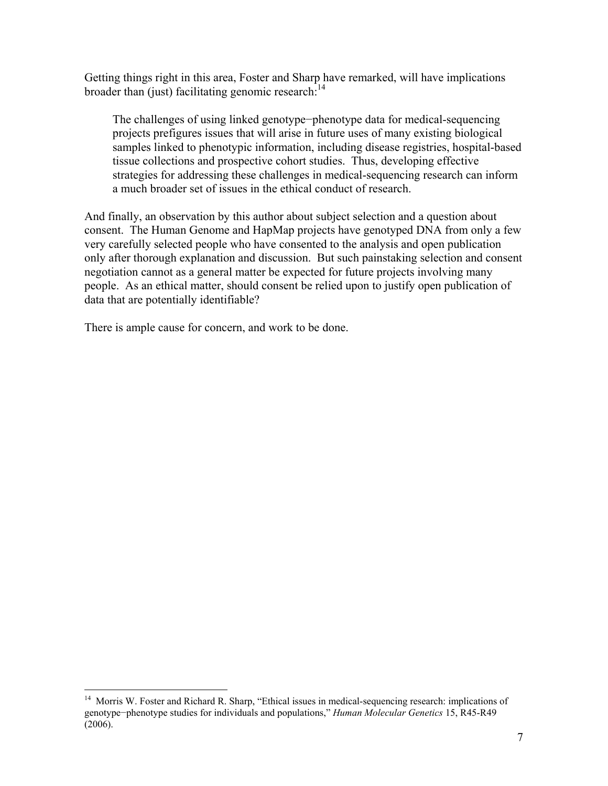Getting things right in this area, Foster and Sharp have remarked, will have implications broader than (just) facilitating genomic research: $<sup>14</sup>$ </sup>

The challenges of using linked genotype−phenotype data for medical-sequencing projects prefigures issues that will arise in future uses of many existing biological samples linked to phenotypic information, including disease registries, hospital-based tissue collections and prospective cohort studies. Thus, developing effective strategies for addressing these challenges in medical-sequencing research can inform a much broader set of issues in the ethical conduct of research.

And finally, an observation by this author about subject selection and a question about consent. The Human Genome and HapMap projects have genotyped DNA from only a few very carefully selected people who have consented to the analysis and open publication only after thorough explanation and discussion. But such painstaking selection and consent negotiation cannot as a general matter be expected for future projects involving many people. As an ethical matter, should consent be relied upon to justify open publication of data that are potentially identifiable?

There is ample cause for concern, and work to be done.

<sup>&</sup>lt;sup>14</sup> Morris W. Foster and Richard R. Sharp, "Ethical issues in medical-sequencing research: implications of genotype−phenotype studies for individuals and populations," *Human Molecular Genetics* 15, R45-R49 (2006).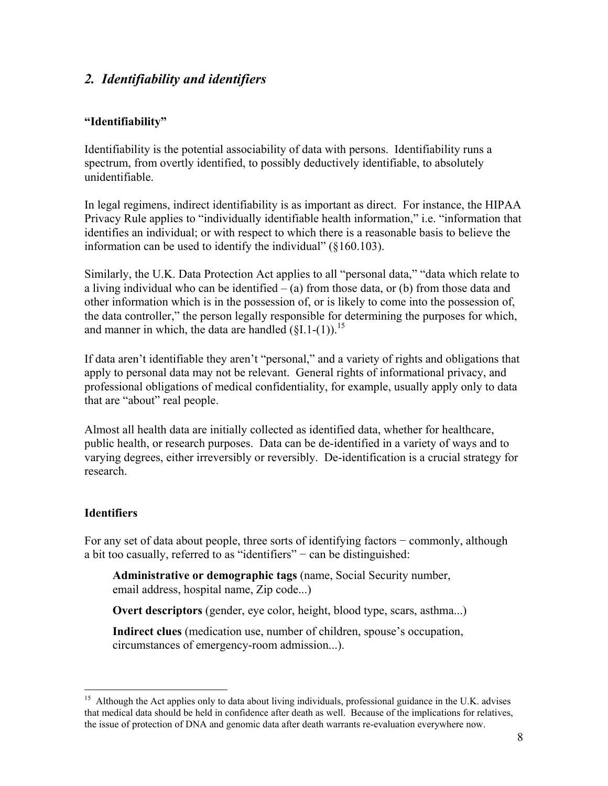## *2. Identifiability and identifiers*

#### **"Identifiability"**

Identifiability is the potential associability of data with persons. Identifiability runs a spectrum, from overtly identified, to possibly deductively identifiable, to absolutely unidentifiable.

In legal regimens, indirect identifiability is as important as direct. For instance, the HIPAA Privacy Rule applies to "individually identifiable health information," i.e. "information that identifies an individual; or with respect to which there is a reasonable basis to believe the information can be used to identify the individual" (§160.103).

Similarly, the U.K. Data Protection Act applies to all "personal data," "data which relate to a living individual who can be identified  $-$  (a) from those data, or (b) from those data and other information which is in the possession of, or is likely to come into the possession of, the data controller," the person legally responsible for determining the purposes for which, and manner in which, the data are handled  $(SI.1-(1))$ .<sup>15</sup>

If data aren't identifiable they aren't "personal," and a variety of rights and obligations that apply to personal data may not be relevant. General rights of informational privacy, and professional obligations of medical confidentiality, for example, usually apply only to data that are "about" real people.

Almost all health data are initially collected as identified data, whether for healthcare, public health, or research purposes. Data can be de-identified in a variety of ways and to varying degrees, either irreversibly or reversibly. De-identification is a crucial strategy for research.

## **Identifiers**

For any set of data about people, three sorts of identifying factors − commonly, although a bit too casually, referred to as "identifiers" − can be distinguished:

**Administrative or demographic tags** (name, Social Security number, email address, hospital name, Zip code...)

**Overt descriptors** (gender, eye color, height, blood type, scars, asthma...)

**Indirect clues** (medication use, number of children, spouse's occupation, circumstances of emergency-room admission...).

<sup>1</sup> <sup>15</sup> Although the Act applies only to data about living individuals, professional guidance in the U.K. advises that medical data should be held in confidence after death as well. Because of the implications for relatives, the issue of protection of DNA and genomic data after death warrants re-evaluation everywhere now.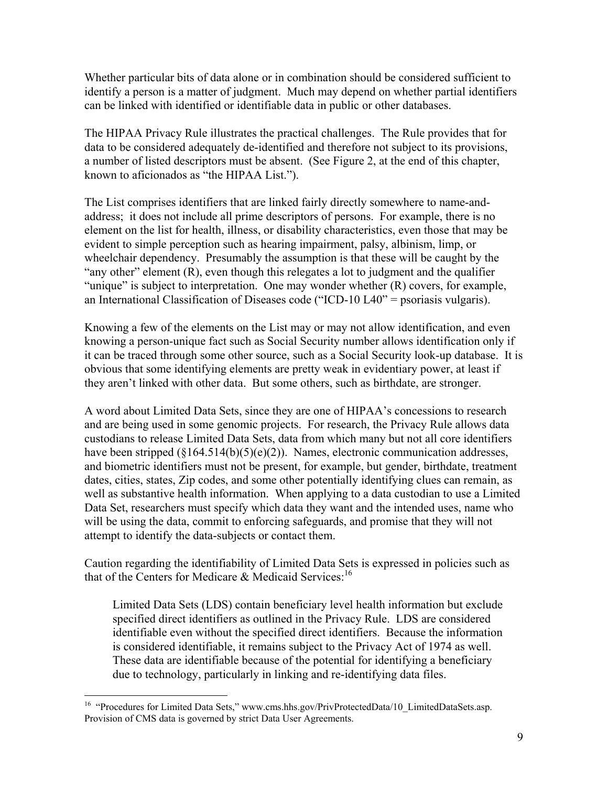Whether particular bits of data alone or in combination should be considered sufficient to identify a person is a matter of judgment. Much may depend on whether partial identifiers can be linked with identified or identifiable data in public or other databases.

The HIPAA Privacy Rule illustrates the practical challenges. The Rule provides that for data to be considered adequately de-identified and therefore not subject to its provisions, a number of listed descriptors must be absent. (See Figure 2, at the end of this chapter, known to aficionados as "the HIPAA List.").

The List comprises identifiers that are linked fairly directly somewhere to name-andaddress; it does not include all prime descriptors of persons. For example, there is no element on the list for health, illness, or disability characteristics, even those that may be evident to simple perception such as hearing impairment, palsy, albinism, limp, or wheelchair dependency. Presumably the assumption is that these will be caught by the "any other" element  $(R)$ , even though this relegates a lot to judgment and the qualifier "unique" is subject to interpretation. One may wonder whether  $(R)$  covers, for example, an International Classification of Diseases code ("ICD-10 L40" = psoriasis vulgaris).

Knowing a few of the elements on the List may or may not allow identification, and even knowing a person-unique fact such as Social Security number allows identification only if it can be traced through some other source, such as a Social Security look-up database. It is obvious that some identifying elements are pretty weak in evidentiary power, at least if they aren't linked with other data. But some others, such as birthdate, are stronger.

A word about Limited Data Sets, since they are one of HIPAA's concessions to research and are being used in some genomic projects. For research, the Privacy Rule allows data custodians to release Limited Data Sets, data from which many but not all core identifiers have been stripped (§164.514(b)(5)(e)(2)). Names, electronic communication addresses, and biometric identifiers must not be present, for example, but gender, birthdate, treatment dates, cities, states, Zip codes, and some other potentially identifying clues can remain, as well as substantive health information. When applying to a data custodian to use a Limited Data Set, researchers must specify which data they want and the intended uses, name who will be using the data, commit to enforcing safeguards, and promise that they will not attempt to identify the data-subjects or contact them.

Caution regarding the identifiability of Limited Data Sets is expressed in policies such as that of the Centers for Medicare  $\&$  Medicaid Services:<sup>16</sup>

Limited Data Sets (LDS) contain beneficiary level health information but exclude specified direct identifiers as outlined in the Privacy Rule. LDS are considered identifiable even without the specified direct identifiers. Because the information is considered identifiable, it remains subject to the Privacy Act of 1974 as well. These data are identifiable because of the potential for identifying a beneficiary due to technology, particularly in linking and re-identifying data files.

<sup>1</sup> <sup>16</sup> "Procedures for Limited Data Sets," www.cms.hhs.gov/PrivProtectedData/10\_LimitedDataSets.asp. Provision of CMS data is governed by strict Data User Agreements.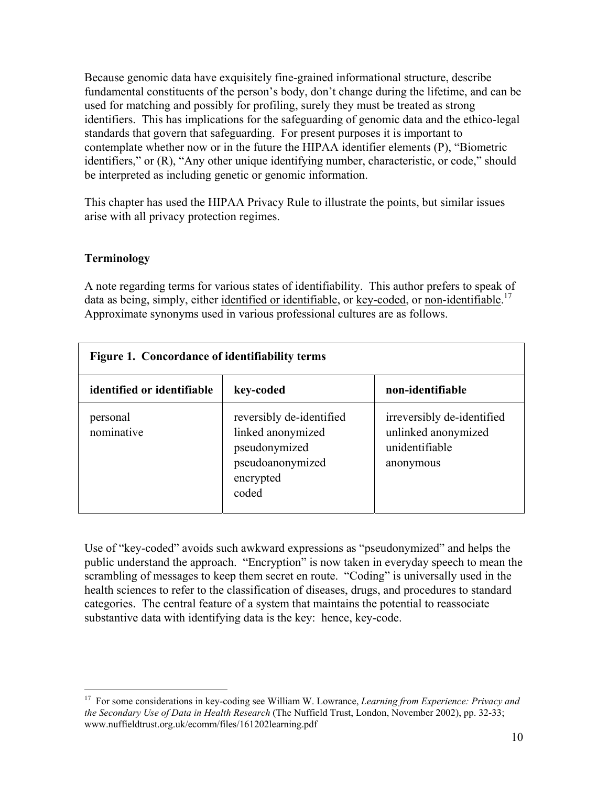Because genomic data have exquisitely fine-grained informational structure, describe fundamental constituents of the person's body, don't change during the lifetime, and can be used for matching and possibly for profiling, surely they must be treated as strong identifiers. This has implications for the safeguarding of genomic data and the ethico-legal standards that govern that safeguarding. For present purposes it is important to contemplate whether now or in the future the HIPAA identifier elements (P), "Biometric identifiers," or (R), "Any other unique identifying number, characteristic, or code," should be interpreted as including genetic or genomic information.

This chapter has used the HIPAA Privacy Rule to illustrate the points, but similar issues arise with all privacy protection regimes.

#### **Terminology**

1

A note regarding terms for various states of identifiability. This author prefers to speak of data as being, simply, either identified or identifiable, or key-coded, or non-identifiable.<sup>17</sup> Approximate synonyms used in various professional cultures are as follows.

| Figure 1. Concordance of identifiability terms |                                                                                                          |                                                                                  |  |  |  |
|------------------------------------------------|----------------------------------------------------------------------------------------------------------|----------------------------------------------------------------------------------|--|--|--|
| identified or identifiable                     | key-coded                                                                                                | non-identifiable                                                                 |  |  |  |
| personal<br>nominative                         | reversibly de-identified<br>linked anonymized<br>pseudonymized<br>pseudoanonymized<br>encrypted<br>coded | irreversibly de-identified<br>unlinked anonymized<br>unidentifiable<br>anonymous |  |  |  |

Use of "key-coded" avoids such awkward expressions as "pseudonymized" and helps the public understand the approach. "Encryption" is now taken in everyday speech to mean the scrambling of messages to keep them secret en route. "Coding" is universally used in the health sciences to refer to the classification of diseases, drugs, and procedures to standard categories. The central feature of a system that maintains the potential to reassociate substantive data with identifying data is the key: hence, key-code.

<sup>17</sup> For some considerations in key-coding see William W. Lowrance, *Learning from Experience: Privacy and the Secondary Use of Data in Health Research* (The Nuffield Trust, London, November 2002), pp. 32-33; www.nuffieldtrust.org.uk/ecomm/files/161202learning.pdf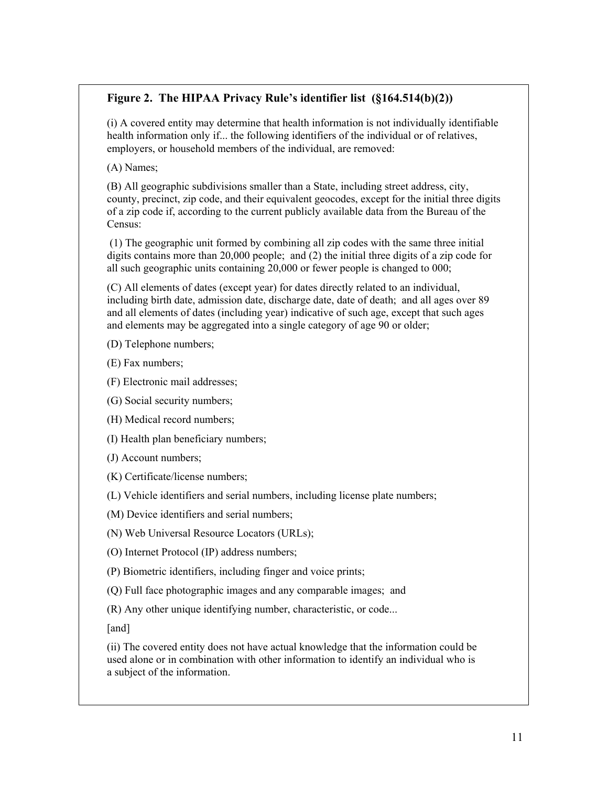## **Figure 2. The HIPAA Privacy Rule's identifier list (§164.514(b)(2))**

(i) A covered entity may determine that health information is not individually identifiable health information only if... the following identifiers of the individual or of relatives, employers, or household members of the individual, are removed:

(A) Names;

(B) All geographic subdivisions smaller than a State, including street address, city, county, precinct, zip code, and their equivalent geocodes, except for the initial three digits of a zip code if, according to the current publicly available data from the Bureau of the Census:

 (1) The geographic unit formed by combining all zip codes with the same three initial digits contains more than 20,000 people; and (2) the initial three digits of a zip code for all such geographic units containing 20,000 or fewer people is changed to 000;

(C) All elements of dates (except year) for dates directly related to an individual, including birth date, admission date, discharge date, date of death; and all ages over 89 and all elements of dates (including year) indicative of such age, except that such ages and elements may be aggregated into a single category of age 90 or older;

(D) Telephone numbers;

(E) Fax numbers;

(F) Electronic mail addresses;

(G) Social security numbers;

(H) Medical record numbers;

(I) Health plan beneficiary numbers;

(J) Account numbers;

(K) Certificate/license numbers;

(L) Vehicle identifiers and serial numbers, including license plate numbers;

(M) Device identifiers and serial numbers;

(N) Web Universal Resource Locators (URLs);

(O) Internet Protocol (IP) address numbers;

(P) Biometric identifiers, including finger and voice prints;

(Q) Full face photographic images and any comparable images; and

(R) Any other unique identifying number, characteristic, or code...

[and]

(ii) The covered entity does not have actual knowledge that the information could be used alone or in combination with other information to identify an individual who is a subject of the information.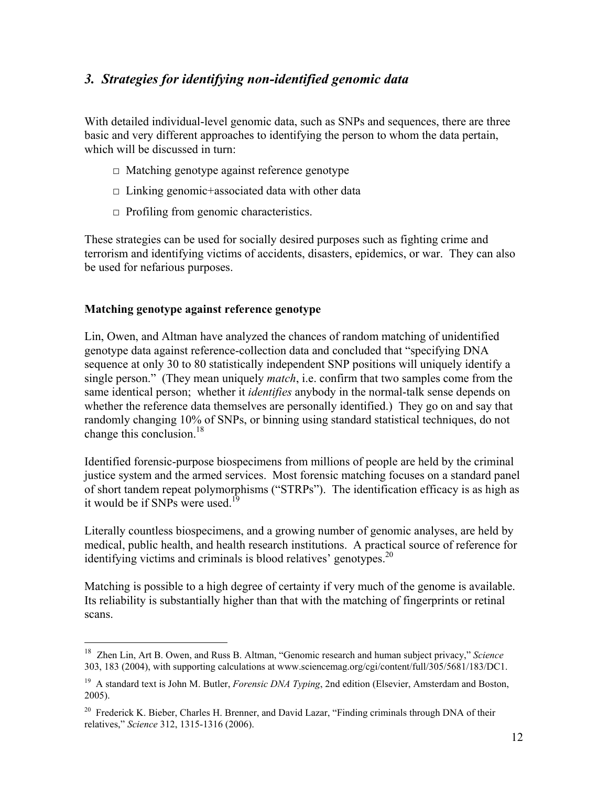## *3. Strategies for identifying non-identified genomic data*

With detailed individual-level genomic data, such as SNPs and sequences, there are three basic and very different approaches to identifying the person to whom the data pertain, which will be discussed in turn:

- $\Box$  Matching genotype against reference genotype
- $\Box$  Linking genomic+associated data with other data
- $\Box$  Profiling from genomic characteristics.

These strategies can be used for socially desired purposes such as fighting crime and terrorism and identifying victims of accidents, disasters, epidemics, or war. They can also be used for nefarious purposes.

## **Matching genotype against reference genotype**

1

Lin, Owen, and Altman have analyzed the chances of random matching of unidentified genotype data against reference-collection data and concluded that "specifying DNA sequence at only 30 to 80 statistically independent SNP positions will uniquely identify a single person." (They mean uniquely *match*, i.e. confirm that two samples come from the same identical person; whether it *identifies* anybody in the normal-talk sense depends on whether the reference data themselves are personally identified.) They go on and say that randomly changing 10% of SNPs, or binning using standard statistical techniques, do not change this conclusion.<sup>18</sup>

Identified forensic-purpose biospecimens from millions of people are held by the criminal justice system and the armed services. Most forensic matching focuses on a standard panel of short tandem repeat polymorphisms ("STRPs"). The identification efficacy is as high as it would be if SNPs were used.<sup>19</sup>

Literally countless biospecimens, and a growing number of genomic analyses, are held by medical, public health, and health research institutions. A practical source of reference for identifying victims and criminals is blood relatives' genotypes.<sup>20</sup>

Matching is possible to a high degree of certainty if very much of the genome is available. Its reliability is substantially higher than that with the matching of fingerprints or retinal scans.

<sup>18</sup> Zhen Lin, Art B. Owen, and Russ B. Altman, "Genomic research and human subject privacy," *Science*  303, 183 (2004), with supporting calculations at www.sciencemag.org/cgi/content/full/305/5681/183/DC1.

<sup>19</sup> A standard text is John M. Butler, *Forensic DNA Typing*, 2nd edition (Elsevier, Amsterdam and Boston, 2005).

<sup>&</sup>lt;sup>20</sup> Frederick K. Bieber, Charles H. Brenner, and David Lazar, "Finding criminals through DNA of their relatives," *Science* 312, 1315-1316 (2006).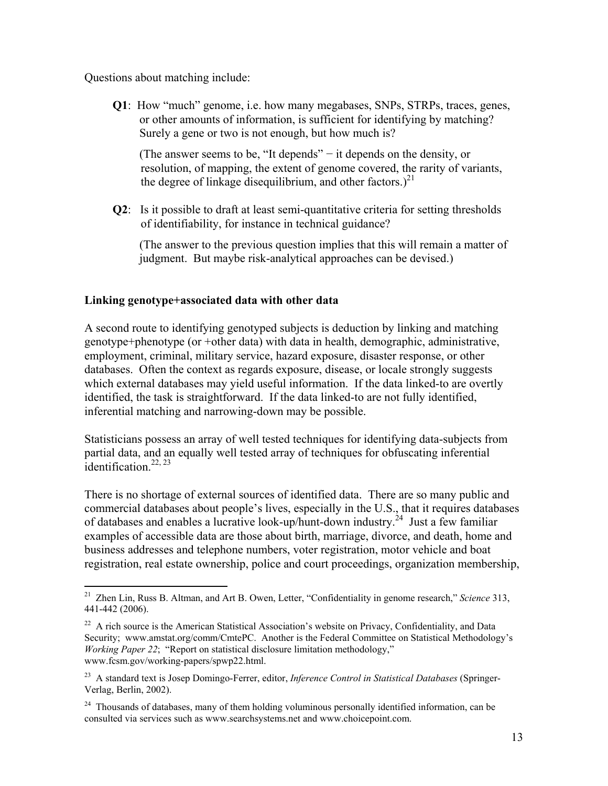Questions about matching include:

**Q1**: How "much" genome, i.e. how many megabases, SNPs, STRPs, traces, genes, or other amounts of information, is sufficient for identifying by matching? Surely a gene or two is not enough, but how much is?

 (The answer seems to be, "It depends" − it depends on the density, or resolution, of mapping, the extent of genome covered, the rarity of variants, the degree of linkage disequilibrium, and other factors.)<sup>21</sup>

**Q2**: Is it possible to draft at least semi-quantitative criteria for setting thresholds of identifiability, for instance in technical guidance?

 (The answer to the previous question implies that this will remain a matter of judgment. But maybe risk-analytical approaches can be devised.)

#### **Linking genotype+associated data with other data**

1

A second route to identifying genotyped subjects is deduction by linking and matching genotype+phenotype (or +other data) with data in health, demographic, administrative, employment, criminal, military service, hazard exposure, disaster response, or other databases. Often the context as regards exposure, disease, or locale strongly suggests which external databases may yield useful information. If the data linked-to are overtly identified, the task is straightforward. If the data linked-to are not fully identified, inferential matching and narrowing-down may be possible.

Statisticians possess an array of well tested techniques for identifying data-subjects from partial data, and an equally well tested array of techniques for obfuscating inferential  $\frac{1}{1}$ dentification<sup>22, 23</sup>

There is no shortage of external sources of identified data. There are so many public and commercial databases about people's lives, especially in the U.S., that it requires databases of databases and enables a lucrative look-up/hunt-down industry.24 Just a few familiar examples of accessible data are those about birth, marriage, divorce, and death, home and business addresses and telephone numbers, voter registration, motor vehicle and boat registration, real estate ownership, police and court proceedings, organization membership,

<sup>21</sup> Zhen Lin, Russ B. Altman, and Art B. Owen, Letter, "Confidentiality in genome research," *Science* 313, 441-442 (2006).

 $^{22}$  A rich source is the American Statistical Association's website on Privacy, Confidentiality, and Data Security; www.amstat.org/comm/CmtePC. Another is the Federal Committee on Statistical Methodology's *Working Paper 22*; "Report on statistical disclosure limitation methodology," www.fcsm.gov/working-papers/spwp22.html.

<sup>23</sup> A standard text is Josep Domingo-Ferrer, editor, *Inference Control in Statistical Databases* (Springer-Verlag, Berlin, 2002).

 $24$  Thousands of databases, many of them holding voluminous personally identified information, can be consulted via services such as www.searchsystems.net and www.choicepoint.com.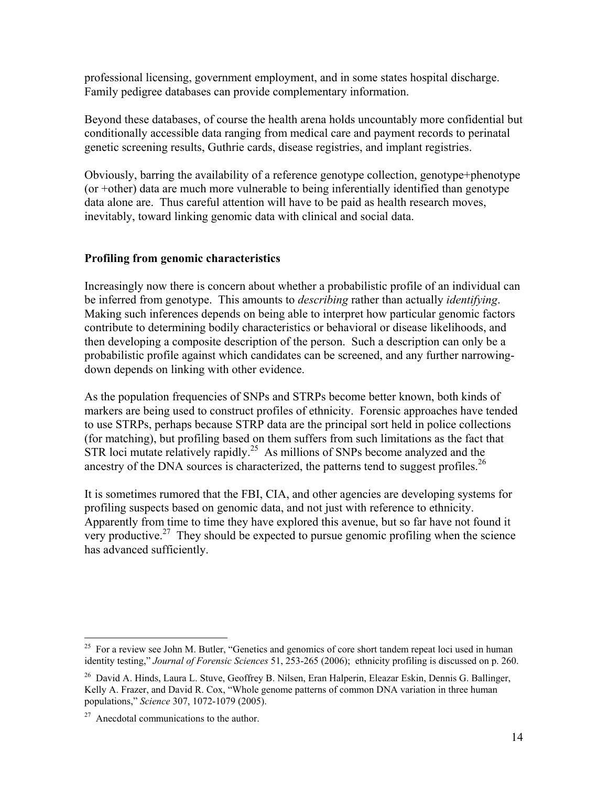professional licensing, government employment, and in some states hospital discharge. Family pedigree databases can provide complementary information.

Beyond these databases, of course the health arena holds uncountably more confidential but conditionally accessible data ranging from medical care and payment records to perinatal genetic screening results, Guthrie cards, disease registries, and implant registries.

Obviously, barring the availability of a reference genotype collection, genotype+phenotype (or +other) data are much more vulnerable to being inferentially identified than genotype data alone are. Thus careful attention will have to be paid as health research moves, inevitably, toward linking genomic data with clinical and social data.

#### **Profiling from genomic characteristics**

Increasingly now there is concern about whether a probabilistic profile of an individual can be inferred from genotype. This amounts to *describing* rather than actually *identifying*. Making such inferences depends on being able to interpret how particular genomic factors contribute to determining bodily characteristics or behavioral or disease likelihoods, and then developing a composite description of the person. Such a description can only be a probabilistic profile against which candidates can be screened, and any further narrowingdown depends on linking with other evidence.

As the population frequencies of SNPs and STRPs become better known, both kinds of markers are being used to construct profiles of ethnicity. Forensic approaches have tended to use STRPs, perhaps because STRP data are the principal sort held in police collections (for matching), but profiling based on them suffers from such limitations as the fact that  $\overrightarrow{STR}$  loci mutate relatively rapidly.<sup>25</sup> As millions of SNPs become analyzed and the ancestry of the DNA sources is characterized, the patterns tend to suggest profiles.<sup>26</sup>

It is sometimes rumored that the FBI, CIA, and other agencies are developing systems for profiling suspects based on genomic data, and not just with reference to ethnicity. Apparently from time to time they have explored this avenue, but so far have not found it very productive.<sup>27</sup> They should be expected to pursue genomic profiling when the science has advanced sufficiently.

<sup>&</sup>lt;sup>25</sup> For a review see John M. Butler, "Genetics and genomics of core short tandem repeat loci used in human identity testing," *Journal of Forensic Sciences* 51, 253-265 (2006); ethnicity profiling is discussed on p. 260.

<sup>26</sup> David A. Hinds, Laura L. Stuve, Geoffrey B. Nilsen, Eran Halperin, Eleazar Eskin, Dennis G. Ballinger, Kelly A. Frazer, and David R. Cox, "Whole genome patterns of common DNA variation in three human populations," *Science* 307, 1072-1079 (2005).

 $27$  Anecdotal communications to the author.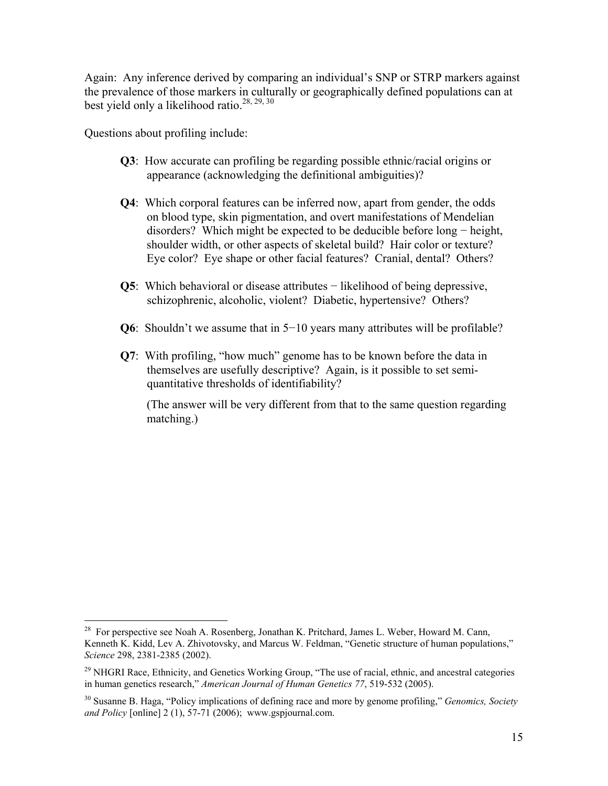Again: Any inference derived by comparing an individual's SNP or STRP markers against the prevalence of those markers in culturally or geographically defined populations can at best yield only a likelihood ratio.<sup>28, 29, 30</sup>

Questions about profiling include:

<u>.</u>

- **Q3**: How accurate can profiling be regarding possible ethnic/racial origins or appearance (acknowledging the definitional ambiguities)?
- **Q4**: Which corporal features can be inferred now, apart from gender, the odds on blood type, skin pigmentation, and overt manifestations of Mendelian disorders? Which might be expected to be deducible before long − height, shoulder width, or other aspects of skeletal build? Hair color or texture? Eye color? Eye shape or other facial features? Cranial, dental? Others?
- **Q5**: Which behavioral or disease attributes − likelihood of being depressive, schizophrenic, alcoholic, violent? Diabetic, hypertensive? Others?
- **Q6**: Shouldn't we assume that in 5−10 years many attributes will be profilable?
- **Q7**: With profiling, "how much" genome has to be known before the data in themselves are usefully descriptive? Again, is it possible to set semi quantitative thresholds of identifiability?

 (The answer will be very different from that to the same question regarding matching.)

<sup>&</sup>lt;sup>28</sup> For perspective see Noah A. Rosenberg, Jonathan K. Pritchard, James L. Weber, Howard M. Cann, Kenneth K. Kidd, Lev A. Zhivotovsky, and Marcus W. Feldman, "Genetic structure of human populations," *Science* 298, 2381-2385 (2002).

<sup>&</sup>lt;sup>29</sup> NHGRI Race, Ethnicity, and Genetics Working Group, "The use of racial, ethnic, and ancestral categories in human genetics research," *American Journal of Human Genetics 77*, 519-532 (2005).

<sup>30</sup> Susanne B. Haga, "Policy implications of defining race and more by genome profiling," *Genomics, Society and Policy* [online] 2 (1), 57-71 (2006); www.gspjournal.com.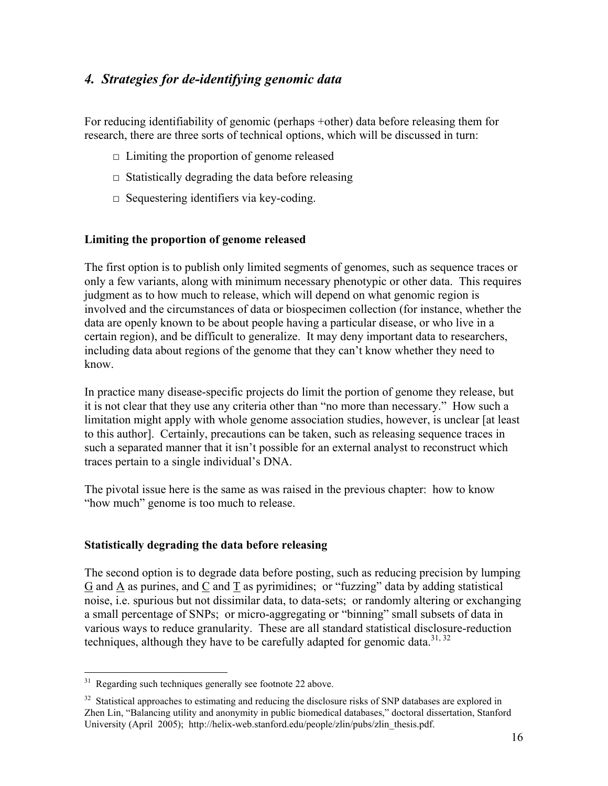## *4. Strategies for de-identifying genomic data*

For reducing identifiability of genomic (perhaps +other) data before releasing them for research, there are three sorts of technical options, which will be discussed in turn:

- $\Box$  Limiting the proportion of genome released
- $\Box$  Statistically degrading the data before releasing
- $\Box$  Sequestering identifiers via key-coding.

#### **Limiting the proportion of genome released**

The first option is to publish only limited segments of genomes, such as sequence traces or only a few variants, along with minimum necessary phenotypic or other data. This requires judgment as to how much to release, which will depend on what genomic region is involved and the circumstances of data or biospecimen collection (for instance, whether the data are openly known to be about people having a particular disease, or who live in a certain region), and be difficult to generalize. It may deny important data to researchers, including data about regions of the genome that they can't know whether they need to know.

In practice many disease-specific projects do limit the portion of genome they release, but it is not clear that they use any criteria other than "no more than necessary." How such a limitation might apply with whole genome association studies, however, is unclear [at least to this author]. Certainly, precautions can be taken, such as releasing sequence traces in such a separated manner that it isn't possible for an external analyst to reconstruct which traces pertain to a single individual's DNA.

The pivotal issue here is the same as was raised in the previous chapter: how to know "how much" genome is too much to release.

#### **Statistically degrading the data before releasing**

The second option is to degrade data before posting, such as reducing precision by lumping G and A as purines, and C and T as pyrimidines; or "fuzzing" data by adding statistical noise, i.e. spurious but not dissimilar data, to data-sets; or randomly altering or exchanging a small percentage of SNPs; or micro-aggregating or "binning" small subsets of data in various ways to reduce granularity. These are all standard statistical disclosure-reduction techniques, although they have to be carefully adapted for genomic data.<sup>31, 32</sup>

<u>.</u>

 $31$  Regarding such techniques generally see footnote 22 above.

<sup>&</sup>lt;sup>32</sup> Statistical approaches to estimating and reducing the disclosure risks of SNP databases are explored in Zhen Lin, "Balancing utility and anonymity in public biomedical databases," doctoral dissertation, Stanford University (April 2005); http://helix-web.stanford.edu/people/zlin/pubs/zlin\_thesis.pdf.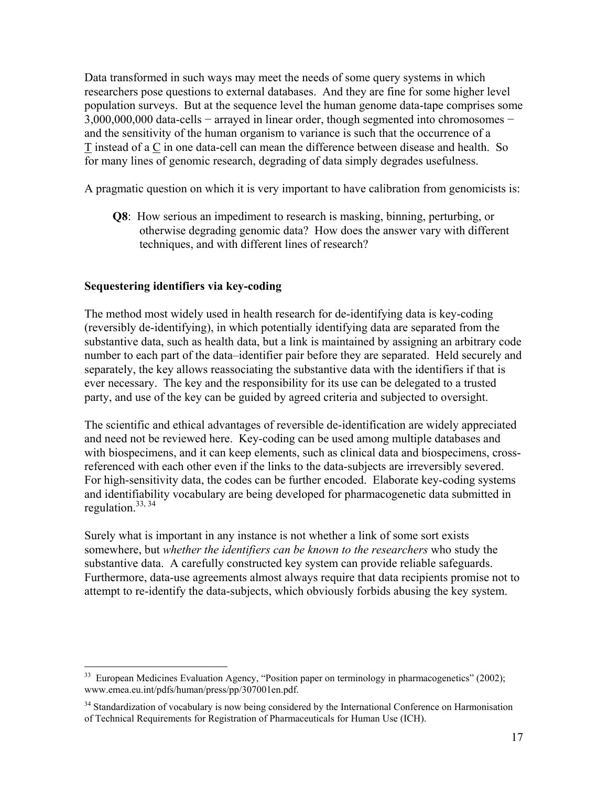Data transformed in such ways may meet the needs of some query systems in which researchers pose questions to external databases. And they are fine for some higher level population surveys. But at the sequence level the human genome data-tape comprises some 3,000,000,000 data-cells − arrayed in linear order, though segmented into chromosomes − and the sensitivity of the human organism to variance is such that the occurrence of a T instead of a C in one data-cell can mean the difference between disease and health. So for many lines of genomic research, degrading of data simply degrades usefulness.

A pragmatic question on which it is very important to have calibration from genomicists is:

**Q8**: How serious an impediment to research is masking, binning, perturbing, or otherwise degrading genomic data? How does the answer vary with different techniques, and with different lines of research?

#### **Sequestering identifiers via key-coding**

1

The method most widely used in health research for de-identifying data is key-coding (reversibly de-identifying), in which potentially identifying data are separated from the substantive data, such as health data, but a link is maintained by assigning an arbitrary code number to each part of the data–identifier pair before they are separated. Held securely and separately, the key allows reassociating the substantive data with the identifiers if that is ever necessary. The key and the responsibility for its use can be delegated to a trusted party, and use of the key can be guided by agreed criteria and subjected to oversight.

The scientific and ethical advantages of reversible de-identification are widely appreciated and need not be reviewed here. Key-coding can be used among multiple databases and with biospecimens, and it can keep elements, such as clinical data and biospecimens, crossreferenced with each other even if the links to the data-subjects are irreversibly severed. For high-sensitivity data, the codes can be further encoded. Elaborate key-coding systems and identifiability vocabulary are being developed for pharmacogenetic data submitted in regulation. $33, 34$ 

Surely what is important in any instance is not whether a link of some sort exists somewhere, but *whether the identifiers can be known to the researchers* who study the substantive data. A carefully constructed key system can provide reliable safeguards. Furthermore, data-use agreements almost always require that data recipients promise not to attempt to re-identify the data-subjects, which obviously forbids abusing the key system.

<sup>&</sup>lt;sup>33</sup> European Medicines Evaluation Agency, "Position paper on terminology in pharmacogenetics" (2002); www.emea.eu.int/pdfs/human/press/pp/307001en.pdf.

<sup>&</sup>lt;sup>34</sup> Standardization of vocabulary is now being considered by the International Conference on Harmonisation of Technical Requirements for Registration of Pharmaceuticals for Human Use (ICH).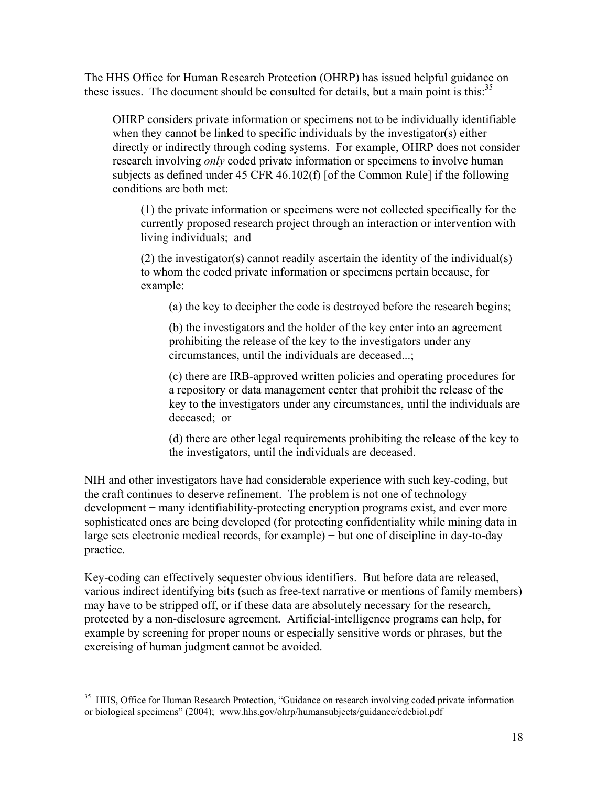The HHS Office for Human Research Protection (OHRP) has issued helpful guidance on these issues. The document should be consulted for details, but a main point is this: $35$ 

OHRP considers private information or specimens not to be individually identifiable when they cannot be linked to specific individuals by the investigator(s) either directly or indirectly through coding systems. For example, OHRP does not consider research involving *only* coded private information or specimens to involve human subjects as defined under 45 CFR 46.102(f) [of the Common Rule] if the following conditions are both met:

(1) the private information or specimens were not collected specifically for the currently proposed research project through an interaction or intervention with living individuals; and

(2) the investigator(s) cannot readily ascertain the identity of the individual(s) to whom the coded private information or specimens pertain because, for example:

(a) the key to decipher the code is destroyed before the research begins;

 (b) the investigators and the holder of the key enter into an agreement prohibiting the release of the key to the investigators under any circumstances, until the individuals are deceased...;

 (c) there are IRB-approved written policies and operating procedures for a repository or data management center that prohibit the release of the key to the investigators under any circumstances, until the individuals are deceased; or

 (d) there are other legal requirements prohibiting the release of the key to the investigators, until the individuals are deceased.

NIH and other investigators have had considerable experience with such key-coding, but the craft continues to deserve refinement. The problem is not one of technology development − many identifiability-protecting encryption programs exist, and ever more sophisticated ones are being developed (for protecting confidentiality while mining data in large sets electronic medical records, for example) − but one of discipline in day-to-day practice.

Key-coding can effectively sequester obvious identifiers. But before data are released, various indirect identifying bits (such as free-text narrative or mentions of family members) may have to be stripped off, or if these data are absolutely necessary for the research, protected by a non-disclosure agreement. Artificial-intelligence programs can help, for example by screening for proper nouns or especially sensitive words or phrases, but the exercising of human judgment cannot be avoided.

<sup>&</sup>lt;sup>35</sup> HHS, Office for Human Research Protection, "Guidance on research involving coded private information or biological specimens" (2004); www.hhs.gov/ohrp/humansubjects/guidance/cdebiol.pdf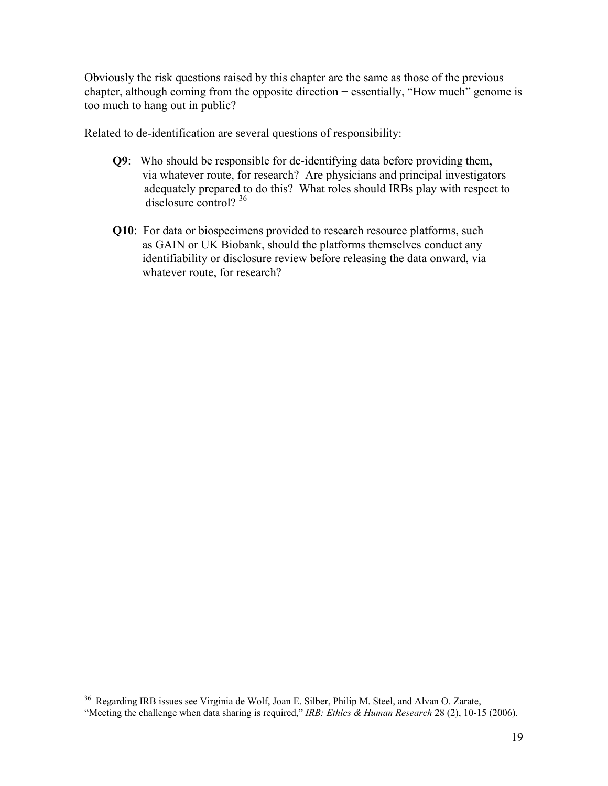Obviously the risk questions raised by this chapter are the same as those of the previous chapter, although coming from the opposite direction − essentially, "How much" genome is too much to hang out in public?

Related to de-identification are several questions of responsibility:

- **Q9**: Who should be responsible for de-identifying data before providing them, via whatever route, for research? Are physicians and principal investigators adequately prepared to do this? What roles should IRBs play with respect to disclosure control?<sup>36</sup>
- **Q10**: For data or biospecimens provided to research resource platforms, such as GAIN or UK Biobank, should the platforms themselves conduct any identifiability or disclosure review before releasing the data onward, via whatever route, for research?

<sup>&</sup>lt;sup>36</sup> Regarding IRB issues see Virginia de Wolf, Joan E. Silber, Philip M. Steel, and Alvan O. Zarate,

<sup>&</sup>quot;Meeting the challenge when data sharing is required," *IRB: Ethics & Human Research* 28 (2), 10-15 (2006).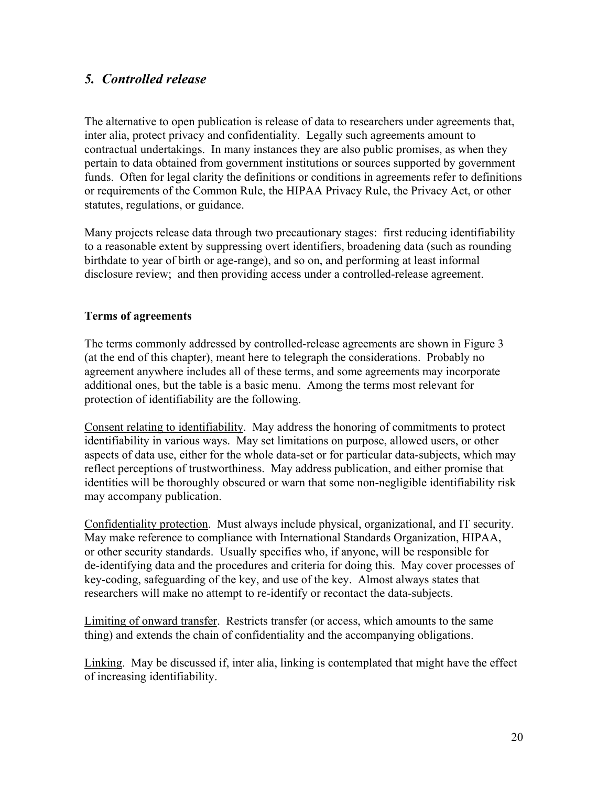## *5. Controlled release*

The alternative to open publication is release of data to researchers under agreements that, inter alia, protect privacy and confidentiality. Legally such agreements amount to contractual undertakings. In many instances they are also public promises, as when they pertain to data obtained from government institutions or sources supported by government funds. Often for legal clarity the definitions or conditions in agreements refer to definitions or requirements of the Common Rule, the HIPAA Privacy Rule, the Privacy Act, or other statutes, regulations, or guidance.

Many projects release data through two precautionary stages: first reducing identifiability to a reasonable extent by suppressing overt identifiers, broadening data (such as rounding birthdate to year of birth or age-range), and so on, and performing at least informal disclosure review; and then providing access under a controlled-release agreement.

#### **Terms of agreements**

The terms commonly addressed by controlled-release agreements are shown in Figure 3 (at the end of this chapter), meant here to telegraph the considerations. Probably no agreement anywhere includes all of these terms, and some agreements may incorporate additional ones, but the table is a basic menu. Among the terms most relevant for protection of identifiability are the following.

Consent relating to identifiability. May address the honoring of commitments to protect identifiability in various ways. May set limitations on purpose, allowed users, or other aspects of data use, either for the whole data-set or for particular data-subjects, which may reflect perceptions of trustworthiness. May address publication, and either promise that identities will be thoroughly obscured or warn that some non-negligible identifiability risk may accompany publication.

Confidentiality protection. Must always include physical, organizational, and IT security. May make reference to compliance with International Standards Organization, HIPAA, or other security standards. Usually specifies who, if anyone, will be responsible for de-identifying data and the procedures and criteria for doing this. May cover processes of key-coding, safeguarding of the key, and use of the key. Almost always states that researchers will make no attempt to re-identify or recontact the data-subjects.

Limiting of onward transfer. Restricts transfer (or access, which amounts to the same thing) and extends the chain of confidentiality and the accompanying obligations.

Linking. May be discussed if, inter alia, linking is contemplated that might have the effect of increasing identifiability.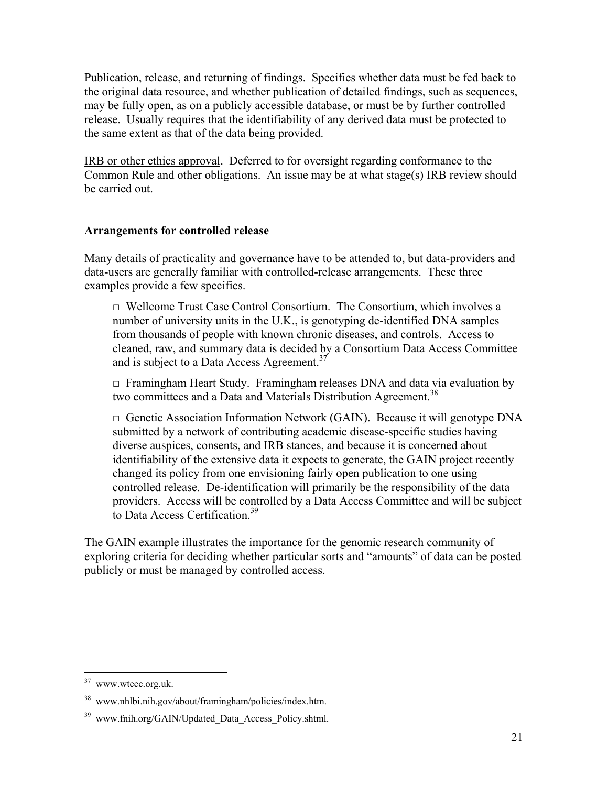Publication, release, and returning of findings. Specifies whether data must be fed back to the original data resource, and whether publication of detailed findings, such as sequences, may be fully open, as on a publicly accessible database, or must be by further controlled release. Usually requires that the identifiability of any derived data must be protected to the same extent as that of the data being provided.

IRB or other ethics approval. Deferred to for oversight regarding conformance to the Common Rule and other obligations. An issue may be at what stage(s) IRB review should be carried out.

#### **Arrangements for controlled release**

Many details of practicality and governance have to be attended to, but data-providers and data-users are generally familiar with controlled-release arrangements. These three examples provide a few specifics.

 $\Box$  Wellcome Trust Case Control Consortium. The Consortium, which involves a number of university units in the U.K., is genotyping de-identified DNA samples from thousands of people with known chronic diseases, and controls. Access to cleaned, raw, and summary data is decided by a Consortium Data Access Committee and is subject to a Data Access Agreement.<sup>37</sup>

 $\Box$  Framingham Heart Study. Framingham releases DNA and data via evaluation by two committees and a Data and Materials Distribution Agreement.<sup>38</sup>

 $\Box$  Genetic Association Information Network (GAIN). Because it will genotype DNA submitted by a network of contributing academic disease-specific studies having diverse auspices, consents, and IRB stances, and because it is concerned about identifiability of the extensive data it expects to generate, the GAIN project recently changed its policy from one envisioning fairly open publication to one using controlled release. De-identification will primarily be the responsibility of the data providers. Access will be controlled by a Data Access Committee and will be subject to Data Access Certification<sup>39</sup>

The GAIN example illustrates the importance for the genomic research community of exploring criteria for deciding whether particular sorts and "amounts" of data can be posted publicly or must be managed by controlled access.

<sup>1</sup>  $37$  www.wtccc.org.uk.

<sup>38</sup> www.nhlbi.nih.gov/about/framingham/policies/index.htm.

<sup>&</sup>lt;sup>39</sup> www.fnih.org/GAIN/Updated Data Access Policy.shtml.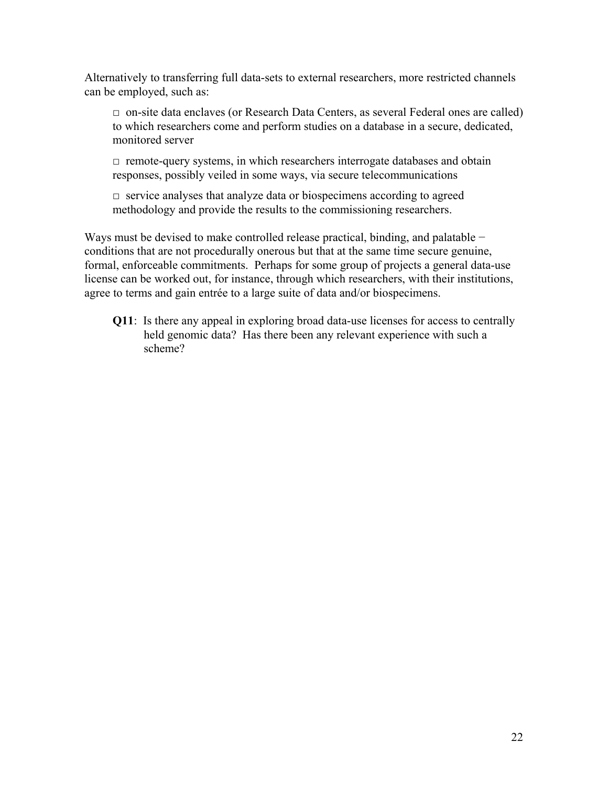Alternatively to transferring full data-sets to external researchers, more restricted channels can be employed, such as:

 $\Box$  on-site data enclaves (or Research Data Centers, as several Federal ones are called) to which researchers come and perform studies on a database in a secure, dedicated, monitored server

 $\Box$  remote-query systems, in which researchers interrogate databases and obtain responses, possibly veiled in some ways, via secure telecommunications

 $\Box$  service analyses that analyze data or biospecimens according to agreed methodology and provide the results to the commissioning researchers.

Ways must be devised to make controlled release practical, binding, and palatable − conditions that are not procedurally onerous but that at the same time secure genuine, formal, enforceable commitments. Perhaps for some group of projects a general data-use license can be worked out, for instance, through which researchers, with their institutions, agree to terms and gain entrée to a large suite of data and/or biospecimens.

 **Q11**: Is there any appeal in exploring broad data-use licenses for access to centrally held genomic data? Has there been any relevant experience with such a scheme?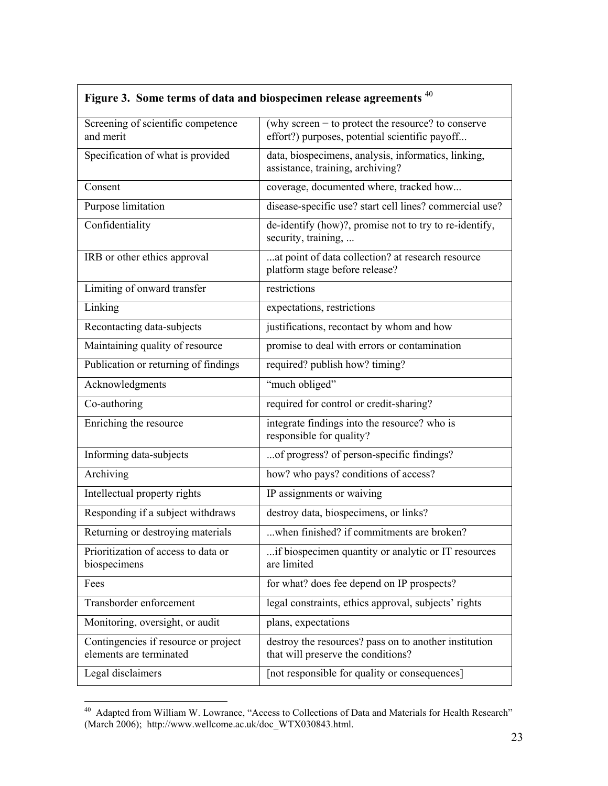| Figure 3. Some terms of data and biospecimen release agreements <sup>40</sup> |                                                                                                        |  |  |
|-------------------------------------------------------------------------------|--------------------------------------------------------------------------------------------------------|--|--|
| Screening of scientific competence<br>and merit                               | (why screen $-$ to protect the resource? to conserve<br>effort?) purposes, potential scientific payoff |  |  |
| Specification of what is provided                                             | data, biospecimens, analysis, informatics, linking,<br>assistance, training, archiving?                |  |  |
| Consent                                                                       | coverage, documented where, tracked how                                                                |  |  |
| Purpose limitation                                                            | disease-specific use? start cell lines? commercial use?                                                |  |  |
| Confidentiality                                                               | de-identify (how)?, promise not to try to re-identify,<br>security, training,                          |  |  |
| IRB or other ethics approval                                                  | at point of data collection? at research resource<br>platform stage before release?                    |  |  |
| Limiting of onward transfer                                                   | restrictions                                                                                           |  |  |
| Linking                                                                       | expectations, restrictions                                                                             |  |  |
| Recontacting data-subjects                                                    | justifications, recontact by whom and how                                                              |  |  |
| Maintaining quality of resource                                               | promise to deal with errors or contamination                                                           |  |  |
| Publication or returning of findings                                          | required? publish how? timing?                                                                         |  |  |
| Acknowledgments                                                               | "much obliged"                                                                                         |  |  |
| Co-authoring                                                                  | required for control or credit-sharing?                                                                |  |  |
| Enriching the resource                                                        | integrate findings into the resource? who is<br>responsible for quality?                               |  |  |
| Informing data-subjects                                                       | of progress? of person-specific findings?                                                              |  |  |
| Archiving                                                                     | how? who pays? conditions of access?                                                                   |  |  |
| Intellectual property rights                                                  | IP assignments or waiving                                                                              |  |  |
| Responding if a subject withdraws                                             | destroy data, biospecimens, or links?                                                                  |  |  |
| Returning or destroying materials                                             | when finished? if commitments are broken?                                                              |  |  |
| Prioritization of access to data or<br>biospecimens                           | if biospecimen quantity or analytic or IT resources<br>are limited                                     |  |  |
| Fees                                                                          | for what? does fee depend on IP prospects?                                                             |  |  |
| Transborder enforcement                                                       | legal constraints, ethics approval, subjects' rights                                                   |  |  |
| Monitoring, oversight, or audit                                               | plans, expectations                                                                                    |  |  |
| Contingencies if resource or project<br>elements are terminated               | destroy the resources? pass on to another institution<br>that will preserve the conditions?            |  |  |
| Legal disclaimers                                                             | [not responsible for quality or consequences]                                                          |  |  |

#### <sup>40</sup> Adapted from William W. Lowrance, "Access to Collections of Data and Materials for Health Research" (March 2006); http://www.wellcome.ac.uk/doc\_WTX030843.html.

 $\overline{\phantom{0}}$ 

1

 $\Gamma$ 

┑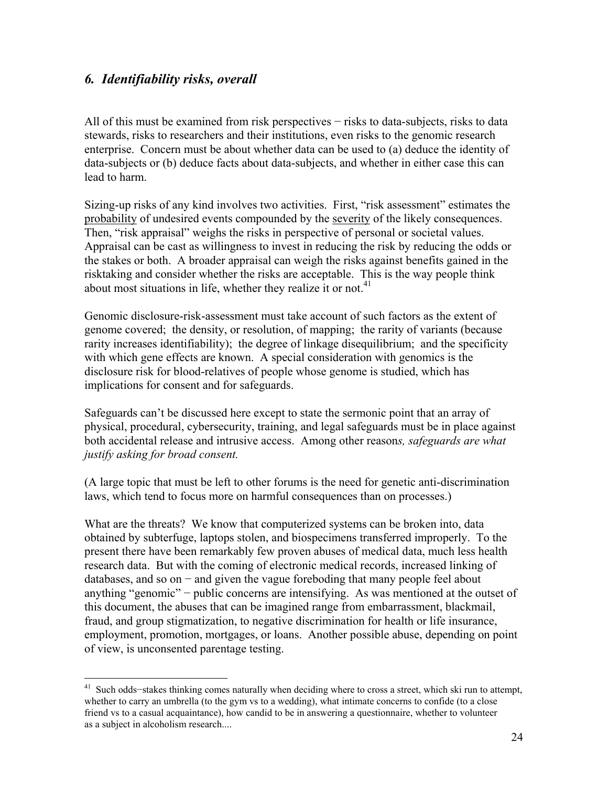## *6. Identifiability risks, overall*

1

All of this must be examined from risk perspectives − risks to data-subjects, risks to data stewards, risks to researchers and their institutions, even risks to the genomic research enterprise. Concern must be about whether data can be used to (a) deduce the identity of data-subjects or (b) deduce facts about data-subjects, and whether in either case this can lead to harm.

Sizing-up risks of any kind involves two activities. First, "risk assessment" estimates the probability of undesired events compounded by the severity of the likely consequences. Then, "risk appraisal" weighs the risks in perspective of personal or societal values. Appraisal can be cast as willingness to invest in reducing the risk by reducing the odds or the stakes or both. A broader appraisal can weigh the risks against benefits gained in the risktaking and consider whether the risks are acceptable. This is the way people think about most situations in life, whether they realize it or not.<sup>41</sup>

Genomic disclosure-risk-assessment must take account of such factors as the extent of genome covered; the density, or resolution, of mapping; the rarity of variants (because rarity increases identifiability); the degree of linkage disequilibrium; and the specificity with which gene effects are known. A special consideration with genomics is the disclosure risk for blood-relatives of people whose genome is studied, which has implications for consent and for safeguards.

Safeguards can't be discussed here except to state the sermonic point that an array of physical, procedural, cybersecurity, training, and legal safeguards must be in place against both accidental release and intrusive access. Among other reason*s, safeguards are what justify asking for broad consent.* 

(A large topic that must be left to other forums is the need for genetic anti-discrimination laws, which tend to focus more on harmful consequences than on processes.)

What are the threats? We know that computerized systems can be broken into, data obtained by subterfuge, laptops stolen, and biospecimens transferred improperly. To the present there have been remarkably few proven abuses of medical data, much less health research data. But with the coming of electronic medical records, increased linking of databases, and so on − and given the vague foreboding that many people feel about anything "genomic" − public concerns are intensifying. As was mentioned at the outset of this document, the abuses that can be imagined range from embarrassment, blackmail, fraud, and group stigmatization, to negative discrimination for health or life insurance, employment, promotion, mortgages, or loans. Another possible abuse, depending on point of view, is unconsented parentage testing.

<sup>41</sup> Such odds−stakes thinking comes naturally when deciding where to cross a street, which ski run to attempt, whether to carry an umbrella (to the gym vs to a wedding), what intimate concerns to confide (to a close friend vs to a casual acquaintance), how candid to be in answering a questionnaire, whether to volunteer as a subject in alcoholism research....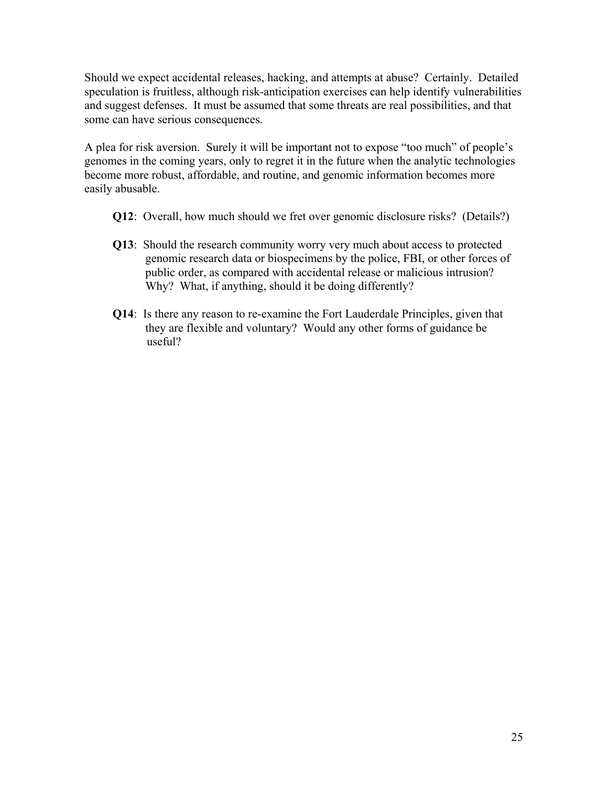Should we expect accidental releases, hacking, and attempts at abuse? Certainly. Detailed speculation is fruitless, although risk-anticipation exercises can help identify vulnerabilities and suggest defenses. It must be assumed that some threats are real possibilities, and that some can have serious consequences.

A plea for risk aversion. Surely it will be important not to expose "too much" of people's genomes in the coming years, only to regret it in the future when the analytic technologies become more robust, affordable, and routine, and genomic information becomes more easily abusable.

- **Q12**: Overall, how much should we fret over genomic disclosure risks? (Details?)
- **Q13**: Should the research community worry very much about access to protected genomic research data or biospecimens by the police, FBI, or other forces of public order, as compared with accidental release or malicious intrusion? Why? What, if anything, should it be doing differently?
- **Q14**: Is there any reason to re-examine the Fort Lauderdale Principles, given that they are flexible and voluntary? Would any other forms of guidance be useful?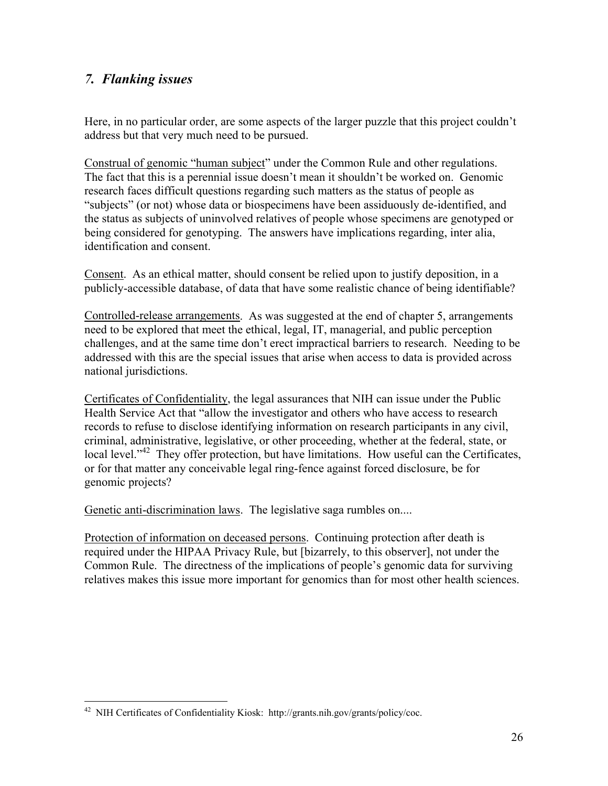## *7. Flanking issues*

Here, in no particular order, are some aspects of the larger puzzle that this project couldn't address but that very much need to be pursued.

Construal of genomic "human subject" under the Common Rule and other regulations. The fact that this is a perennial issue doesn't mean it shouldn't be worked on. Genomic research faces difficult questions regarding such matters as the status of people as "subjects" (or not) whose data or biospecimens have been assiduously de-identified, and the status as subjects of uninvolved relatives of people whose specimens are genotyped or being considered for genotyping. The answers have implications regarding, inter alia, identification and consent.

Consent. As an ethical matter, should consent be relied upon to justify deposition, in a publicly-accessible database, of data that have some realistic chance of being identifiable?

Controlled-release arrangements. As was suggested at the end of chapter 5, arrangements need to be explored that meet the ethical, legal, IT, managerial, and public perception challenges, and at the same time don't erect impractical barriers to research. Needing to be addressed with this are the special issues that arise when access to data is provided across national jurisdictions.

Certificates of Confidentiality, the legal assurances that NIH can issue under the Public Health Service Act that "allow the investigator and others who have access to research records to refuse to disclose identifying information on research participants in any civil, criminal, administrative, legislative, or other proceeding, whether at the federal, state, or local level."<sup>42</sup> They offer protection, but have limitations. How useful can the Certificates, or for that matter any conceivable legal ring-fence against forced disclosure, be for genomic projects?

Genetic anti-discrimination laws. The legislative saga rumbles on....

Protection of information on deceased persons. Continuing protection after death is required under the HIPAA Privacy Rule, but [bizarrely, to this observer], not under the Common Rule. The directness of the implications of people's genomic data for surviving relatives makes this issue more important for genomics than for most other health sciences.

<sup>1</sup> 42 NIH Certificates of Confidentiality Kiosk: http://grants.nih.gov/grants/policy/coc.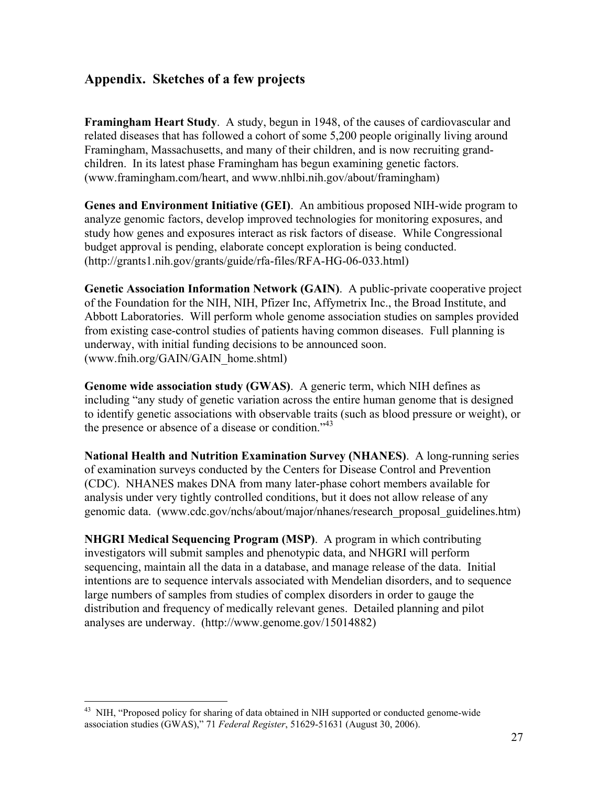## **Appendix. Sketches of a few projects**

**Framingham Heart Study**. A study, begun in 1948, of the causes of cardiovascular and related diseases that has followed a cohort of some 5,200 people originally living around Framingham, Massachusetts, and many of their children, and is now recruiting grandchildren. In its latest phase Framingham has begun examining genetic factors. (www.framingham.com/heart, and www.nhlbi.nih.gov/about/framingham)

**Genes and Environment Initiative (GEI)**. An ambitious proposed NIH-wide program to analyze genomic factors, develop improved technologies for monitoring exposures, and study how genes and exposures interact as risk factors of disease. While Congressional budget approval is pending, elaborate concept exploration is being conducted. (http://grants1.nih.gov/grants/guide/rfa-files/RFA-HG-06-033.html)

**Genetic Association Information Network (GAIN)**. A public-private cooperative project of the Foundation for the NIH, NIH, Pfizer Inc, Affymetrix Inc., the Broad Institute, and Abbott Laboratories. Will perform whole genome association studies on samples provided from existing case-control studies of patients having common diseases. Full planning is underway, with initial funding decisions to be announced soon. (www.fnih.org/GAIN/GAIN\_home.shtml)

**Genome wide association study (GWAS)**. A generic term, which NIH defines as including "any study of genetic variation across the entire human genome that is designed to identify genetic associations with observable traits (such as blood pressure or weight), or the presence or absence of a disease or condition.<sup> $343$ </sup>

**National Health and Nutrition Examination Survey (NHANES)**. A long-running series of examination surveys conducted by the Centers for Disease Control and Prevention (CDC). NHANES makes DNA from many later-phase cohort members available for analysis under very tightly controlled conditions, but it does not allow release of any genomic data. (www.cdc.gov/nchs/about/major/nhanes/research\_proposal\_guidelines.htm)

**NHGRI Medical Sequencing Program (MSP)**. A program in which contributing investigators will submit samples and phenotypic data, and NHGRI will perform sequencing, maintain all the data in a database, and manage release of the data. Initial intentions are to sequence intervals associated with Mendelian disorders, and to sequence large numbers of samples from studies of complex disorders in order to gauge the distribution and frequency of medically relevant genes. Detailed planning and pilot analyses are underway. (http://www.genome.gov/15014882)

<sup>43</sup> NIH, "Proposed policy for sharing of data obtained in NIH supported or conducted genome-wide association studies (GWAS)," 71 *Federal Register*, 51629-51631 (August 30, 2006).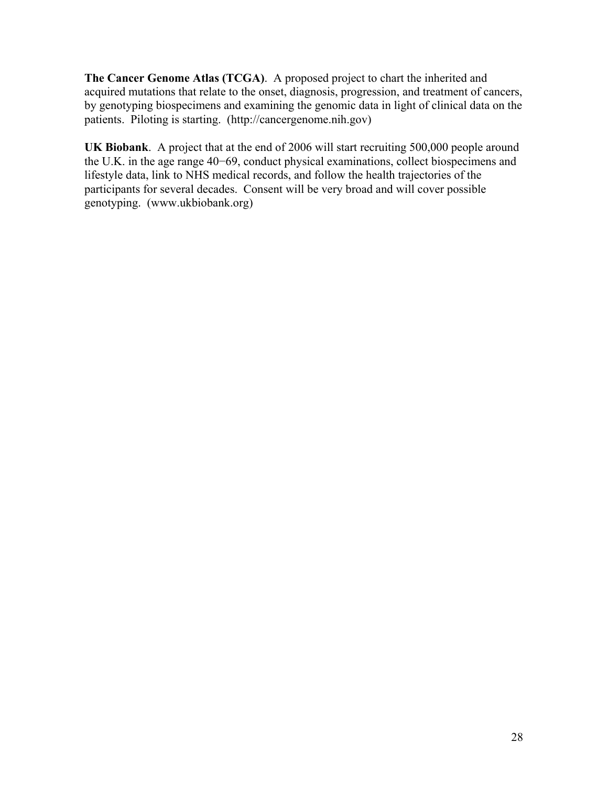**The Cancer Genome Atlas (TCGA)**. A proposed project to chart the inherited and acquired mutations that relate to the onset, diagnosis, progression, and treatment of cancers, by genotyping biospecimens and examining the genomic data in light of clinical data on the patients. Piloting is starting. (http://cancergenome.nih.gov)

**UK Biobank**. A project that at the end of 2006 will start recruiting 500,000 people around the U.K. in the age range 40−69, conduct physical examinations, collect biospecimens and lifestyle data, link to NHS medical records, and follow the health trajectories of the participants for several decades. Consent will be very broad and will cover possible genotyping. (www.ukbiobank.org)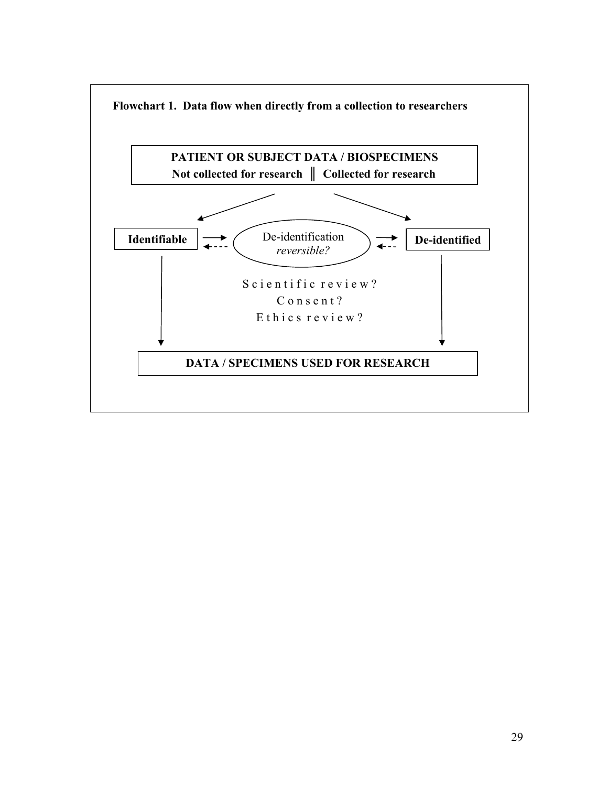